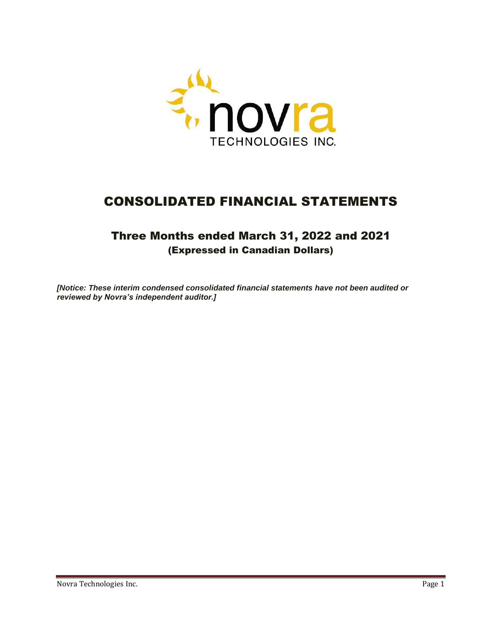

# CONSOLIDATED FINANCIAL STATEMENTS

## Three Months ended March 31, 2022 and 2021 (Expressed in Canadian Dollars)

*[Notice: These interim condensed consolidated financial statements have not been audited or reviewed by Novra's independent auditor.]*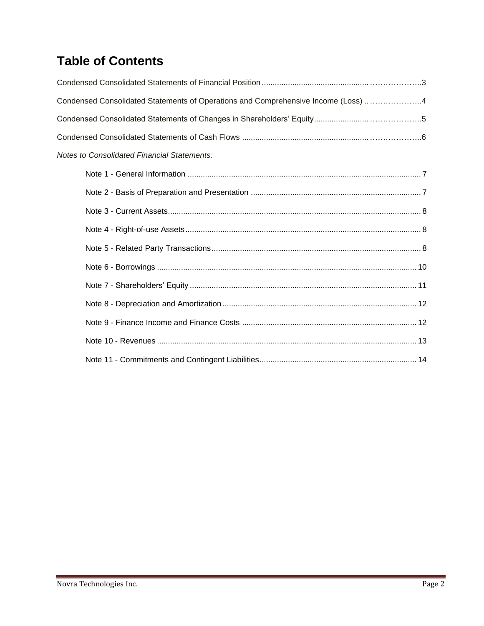# **Table of Contents**

| Condensed Consolidated Statements of Operations and Comprehensive Income (Loss) 4 |
|-----------------------------------------------------------------------------------|
|                                                                                   |
|                                                                                   |
| <b>Notes to Consolidated Financial Statements:</b>                                |
|                                                                                   |
|                                                                                   |
|                                                                                   |
|                                                                                   |
|                                                                                   |
|                                                                                   |
|                                                                                   |
|                                                                                   |
|                                                                                   |
|                                                                                   |
|                                                                                   |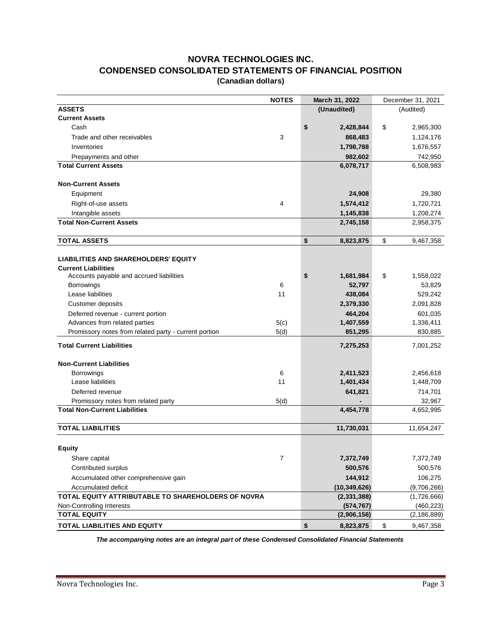### **NOVRA TECHNOLOGIES INC. CONDENSED CONSOLIDATED STATEMENTS OF FINANCIAL POSITION (Canadian dollars)**

|                                                       | <b>NOTES</b>   | March 31, 2022  | December 31, 2021 |               |  |
|-------------------------------------------------------|----------------|-----------------|-------------------|---------------|--|
| <b>ASSETS</b>                                         |                | (Unaudited)     |                   | (Audited)     |  |
| <b>Current Assets</b>                                 |                |                 |                   |               |  |
| Cash                                                  |                | \$<br>2,428,844 | \$                | 2,965,300     |  |
| Trade and other receivables                           | 3              | 868,483         |                   | 1,124,176     |  |
| Inventories                                           |                | 1,798,788       |                   | 1,676,557     |  |
| Prepayments and other                                 |                | 982,602         |                   | 742,950       |  |
| <b>Total Current Assets</b>                           |                | 6,078,717       |                   | 6,508,983     |  |
| <b>Non-Current Assets</b>                             |                |                 |                   |               |  |
| Equipment                                             |                | 24,908          |                   | 29,380        |  |
| Right-of-use assets                                   | 4              | 1,574,412       |                   | 1,720,721     |  |
| Intangible assets                                     |                | 1,145,838       |                   | 1,208,274     |  |
| <b>Total Non-Current Assets</b>                       |                | 2,745,158       |                   | 2,958,375     |  |
| <b>TOTAL ASSETS</b>                                   |                | \$<br>8,823,875 | \$                | 9,467,358     |  |
| <b>LIABILITIES AND SHAREHOLDERS' EQUITY</b>           |                |                 |                   |               |  |
| <b>Current Liabilities</b>                            |                |                 |                   |               |  |
| Accounts payable and accrued liabilities              |                | \$<br>1,681,984 | \$                | 1,558,022     |  |
| <b>Borrowings</b>                                     | 6              | 52,797          |                   | 53,829        |  |
| Lease liabilities                                     | 11             | 438,084         |                   | 529,242       |  |
| <b>Customer deposits</b>                              |                | 2,379,330       |                   | 2,091,828     |  |
| Deferred revenue - current portion                    |                | 464,204         |                   | 601,035       |  |
| Advances from related parties                         | 5(c)           | 1,407,559       |                   | 1,336,411     |  |
| Promissory notes from related party - current portion | 5(d)           | 851,295         |                   | 830,885       |  |
| <b>Total Current Liabilities</b>                      |                | 7,275,253       |                   | 7,001,252     |  |
| <b>Non-Current Liabilities</b>                        |                |                 |                   |               |  |
| Borrowings                                            | 6              | 2,411,523       |                   | 2,456,618     |  |
| Lease liabilities                                     | 11             | 1,401,434       |                   | 1,448,709     |  |
| Deferred revenue                                      |                | 641,821         |                   | 714,701       |  |
| Promissory notes from related party                   | 5(d)           |                 |                   | 32,967        |  |
| <b>Total Non-Current Liabilities</b>                  |                | 4,454,778       |                   | 4,652,995     |  |
| <b>TOTAL LIABILITIES</b>                              |                | 11,730,031      |                   | 11,654,247    |  |
| <b>Equity</b>                                         |                |                 |                   |               |  |
| Share capital                                         | $\overline{7}$ | 7,372,749       |                   | 7,372,749     |  |
| Contributed surplus                                   |                | 500,576         |                   | 500,576       |  |
| Accumulated other comprehensive gain                  |                | 144,912         |                   | 106,275       |  |
| Accumulated deficit                                   |                | (10, 349, 626)  |                   | (9,706,266)   |  |
| TOTAL EQUITY ATTRIBUTABLE TO SHAREHOLDERS OF NOVRA    |                | (2, 331, 388)   |                   | (1,726,666)   |  |
| Non-Controlling Interests                             |                | (574, 767)      |                   | (460, 223)    |  |
| <b>TOTAL EQUITY</b>                                   |                | (2,906,156)     |                   | (2, 186, 889) |  |
| TOTAL LIABILITIES AND EQUITY                          |                | \$<br>8,823,875 | \$                | 9,467,358     |  |

*The accompanying notes are an integral part of these Condensed Consolidated Financial Statements*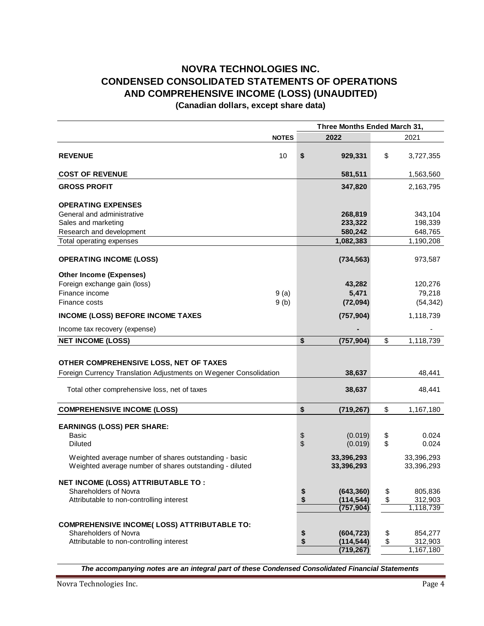### **(Canadian dollars, except share data) NOVRA TECHNOLOGIES INC. CONDENSED CONSOLIDATED STATEMENTS OF OPERATIONS AND COMPREHENSIVE INCOME (LOSS) (UNAUDITED)**

**NOTES 2022** 2021 **REVENUE** 10 **\$ 929,331** \$ 3,727,355 **COST OF REVENUE** 1,563,560 **GROSS PROFIT 347,820** 2,163,795 **OPERATING EXPENSES** General and administrative **268,819** 343,104 Sales and marketing **233,322** 198,339 Research and development **580,242** 648,765 Total operating expenses **1,082,383** 1,190,208 **OPERATING INCOME (LOSS) (734,563)** 973,587 **Other Income (Expenses)** Foreign exchange gain (loss) **43,282** 120,276 Finance income 9 (a) **5,471** 79,218 Finance costs 9 (b) **(72,094)** (54,342) **INCOME (LOSS) BEFORE INCOME TAXES** (757,904) 1,118,739 Income tax recovery (expense) **NET INCOME (LOSS) \$ (757,904)** \$ 1,118,739 **OTHER COMPREHENSIVE LOSS, NET OF TAXES** Foreign Currency Translation Adjustments on Wegener Consolidation **38,637** 38,637 Total other comprehensive loss, net of taxes **38,637** 48,441 **COMPREHENSIVE INCOME (LOSS) \$ (719,267)** \$ 1,167,180 **EARNINGS (LOSS) PER SHARE:** Basic \$ (0.019) \$ 0.024 Diluted \$ (0.019) \$ 0.024 Weighted average number of shares outstanding - basic 33,396,293 33,396,293 Weighted average number of shares outstanding - diluted **33,396,293** 33,396,293 **NET INCOME (LOSS) ATTRIBUTABLE TO :** Shareholders of Novra<br>
Attributable to non-controlling interest<br> **Attributable to non-controlling interest**<br> **8** (114,544) \$312,903 Attributable to non-controlling interest **\$** (114,544)<br>(757,904)  **(757,904)** 1,118,739 **COMPREHENSIVE INCOME( LOSS) ATTRIBUTABLE TO:** Shareholders of Novra **\$ (604,723)** \$ 854,277 Attributable to non-controlling interest **\$ (114,544)** \$ 312,903 **(719,267)** 1,167,180 **Three Months Ended March 31,**

*The accompanying notes are an integral part of these Condensed Consolidated Financial Statements*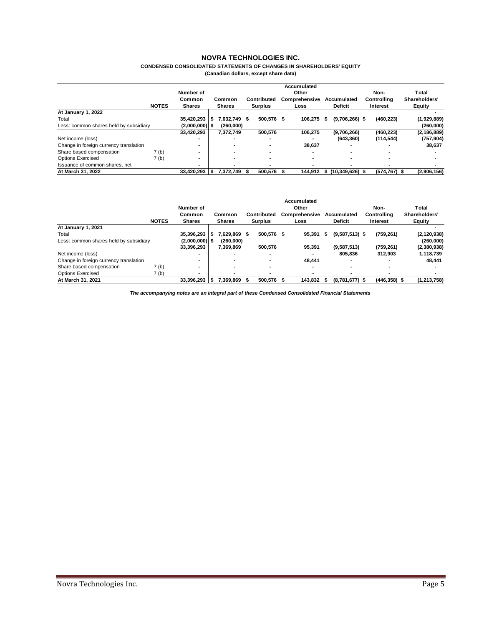### **CONDENSED CONSOLIDATED STATEMENTS OF CHANGES IN SHAREHOLDERS' EQUITY**

**(Canadian dollars, except share data)**

|                                        |              |                  |     |               |                |     | Accumulated          |    |                     |          |                 |               |               |
|----------------------------------------|--------------|------------------|-----|---------------|----------------|-----|----------------------|----|---------------------|----------|-----------------|---------------|---------------|
|                                        |              | Number of        |     |               |                |     | Other                |    |                     |          | Non-            | <b>Total</b>  |               |
|                                        |              | Common           |     | Common        | Contributed    |     | <b>Comprehensive</b> |    | Accumulated         |          | Controlling     | Shareholders' |               |
|                                        | <b>NOTES</b> | <b>Shares</b>    |     | <b>Shares</b> | <b>Surplus</b> |     | Loss                 |    | <b>Deficit</b>      | Interest |                 | Equity        |               |
| At January 1, 2022                     |              |                  |     |               |                |     |                      |    |                     |          |                 |               |               |
| Total                                  |              | 35.420.293       | S   | 7,632,749 \$  | 500.576 \$     |     | 106.275              | 55 | $(9,706,266)$ \$    |          | (460, 223)      |               | (1,929,889)   |
| Less: common shares held by subsidiary |              | $(2,000,000)$ \$ |     | (260,000)     |                |     |                      |    |                     |          |                 |               | (260,000)     |
|                                        |              | 33,420,293       |     | 7,372,749     | 500.576        |     | 106.275              |    | (9,706,266)         |          | (460.223)       |               | (2, 186, 889) |
| Net income (loss)                      |              |                  |     |               |                |     |                      |    | (643, 360)          |          | (114, 544)      |               | (757, 904)    |
| Change in foreign currency translation |              | -                |     |               | -              |     | 38,637               |    |                     |          |                 |               | 38,637        |
| Share based compensation               | 7 (b)        | -                |     |               | -              |     |                      |    |                     |          |                 |               |               |
| <b>Options Exercised</b>               | 7 (b)        | -                |     |               |                |     |                      |    |                     |          |                 |               |               |
| Issuance of common shares, net         |              | -                |     |               |                |     |                      |    |                     |          |                 |               |               |
| At March 31, 2022                      |              | 33,420,293       | - 5 | 7,372,749 \$  | 500.576        | - 5 | 144.912              | s. | $(10, 349, 626)$ \$ |          | $(574, 767)$ \$ |               | (2,906,156)   |

|                                        |              | Number of        |                                                           |              |             | Accumulated<br>Other | Non-   | Total            |                 |               |
|----------------------------------------|--------------|------------------|-----------------------------------------------------------|--------------|-------------|----------------------|--------|------------------|-----------------|---------------|
|                                        |              | Common           |                                                           | Common       | Contributed | <b>Comprehensive</b> |        | Accumulated      | Controlling     | Shareholders' |
|                                        | <b>NOTES</b> | <b>Shares</b>    | <b>Deficit</b><br><b>Shares</b><br><b>Surplus</b><br>Loss |              |             | Interest             | Equity |                  |                 |               |
| At January 1, 2021                     |              |                  |                                                           |              |             |                      |        |                  |                 |               |
| Total                                  |              | 35,396,293       | s.                                                        | 7.629.869 \$ | 500.576 \$  | 95.391               |        | $(9,587,513)$ \$ | (759, 261)      | (2, 120, 938) |
| Less: common shares held by subsidiary |              | $(2,000,000)$ \$ |                                                           | (260.000)    |             |                      |        |                  |                 | (260,000)     |
|                                        |              | 33,396,293       |                                                           | 7,369,869    | 500.576     | 95.391               |        | (9,587,513)      | (759, 261)      | (2,380,938)   |
| Net income (loss)                      |              |                  |                                                           |              |             |                      |        | 805.836          | 312.903         | 1,118,739     |
| Change in foreign currency translation |              | -                |                                                           |              |             | 48.441               |        |                  |                 | 48,441        |
| Share based compensation               | 7 (b)        | -                |                                                           | -            | -           | -                    |        |                  |                 |               |
| <b>Options Exercised</b>               | 7 (b)        | -                |                                                           |              |             |                      |        |                  |                 |               |
| At March 31, 2021                      |              | 33.396.293       | - 56                                                      | 7.369.869    | 500.576     | 143.832              |        | $(8,781,677)$ \$ | $(446, 358)$ \$ | (1,213,758)   |

*The accompanying notes are an integral part of these Condensed Consolidated Financial Statements*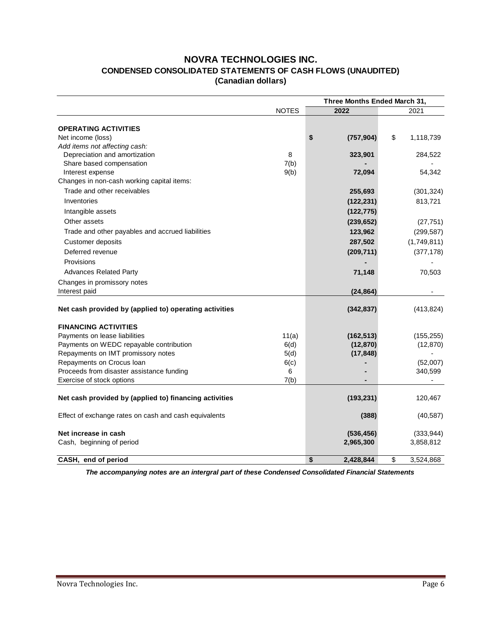### **NOVRA TECHNOLOGIES INC. CONDENSED CONSOLIDATED STATEMENTS OF CASH FLOWS (UNAUDITED) (Canadian dollars)**

|                                                        | Three Months Ended March 31, |                 |            |    |             |  |
|--------------------------------------------------------|------------------------------|-----------------|------------|----|-------------|--|
|                                                        | <b>NOTES</b>                 | 2022            |            |    | 2021        |  |
|                                                        |                              |                 |            |    |             |  |
| <b>OPERATING ACTIVITIES</b>                            |                              |                 |            |    |             |  |
| Net income (loss)                                      |                              | \$              | (757, 904) | \$ | 1,118,739   |  |
| Add items not affecting cash:                          |                              |                 |            |    |             |  |
| Depreciation and amortization                          | 8                            |                 | 323,901    |    | 284,522     |  |
| Share based compensation                               | 7(b)                         |                 |            |    |             |  |
| Interest expense                                       | 9(b)                         |                 | 72,094     |    | 54,342      |  |
| Changes in non-cash working capital items:             |                              |                 |            |    |             |  |
| Trade and other receivables                            |                              |                 | 255,693    |    | (301, 324)  |  |
| Inventories                                            |                              |                 | (122, 231) |    | 813,721     |  |
| Intangible assets                                      |                              |                 | (122, 775) |    |             |  |
| Other assets                                           |                              |                 | (239, 652) |    | (27, 751)   |  |
| Trade and other payables and accrued liabilities       |                              |                 | 123,962    |    | (299, 587)  |  |
| Customer deposits                                      |                              |                 | 287,502    |    | (1,749,811) |  |
| Deferred revenue                                       |                              |                 | (209, 711) |    | (377, 178)  |  |
| Provisions                                             |                              |                 |            |    |             |  |
| <b>Advances Related Party</b>                          |                              |                 | 71,148     |    | 70,503      |  |
| Changes in promissory notes                            |                              |                 |            |    |             |  |
| Interest paid                                          |                              |                 | (24, 864)  |    |             |  |
| Net cash provided by (applied to) operating activities |                              |                 | (342, 837) |    | (413, 824)  |  |
|                                                        |                              |                 |            |    |             |  |
| <b>FINANCING ACTIVITIES</b>                            |                              |                 |            |    |             |  |
| Payments on lease liabilities                          | 11(a)                        |                 | (162, 513) |    | (155, 255)  |  |
| Payments on WEDC repayable contribution                | 6(d)                         |                 | (12, 870)  |    | (12, 870)   |  |
| Repayments on IMT promissory notes                     | 5(d)                         |                 | (17, 848)  |    |             |  |
| Repayments on Crocus loan                              | 6(c)                         |                 |            |    | (52,007)    |  |
| Proceeds from disaster assistance funding              | 6                            |                 |            |    | 340,599     |  |
| Exercise of stock options                              | 7(b)                         |                 |            |    |             |  |
| Net cash provided by (applied to) financing activities |                              |                 | (193, 231) |    | 120,467     |  |
| Effect of exchange rates on cash and cash equivalents  |                              |                 | (388)      |    | (40, 587)   |  |
| Net increase in cash                                   |                              |                 | (536, 456) |    | (333, 944)  |  |
| Cash, beginning of period                              |                              | 2,965,300       |            |    | 3,858,812   |  |
| CASH, end of period                                    |                              | \$<br>2.428.844 |            | \$ | 3,524,868   |  |

*The accompanying notes are an intergral part of these Condensed Consolidated Financial Statements*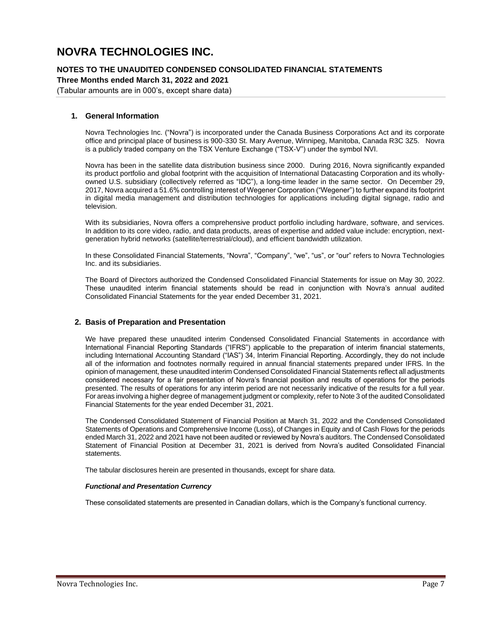### **NOTES TO THE UNAUDITED CONDENSED CONSOLIDATED FINANCIAL STATEMENTS**

**Three Months ended March 31, 2022 and 2021**

(Tabular amounts are in 000's, except share data)

### <span id="page-6-0"></span>**1. General Information**

Novra Technologies Inc. ("Novra") is incorporated under the Canada Business Corporations Act and its corporate office and principal place of business is 900-330 St. Mary Avenue, Winnipeg, Manitoba, Canada R3C 3Z5. Novra is a publicly traded company on the TSX Venture Exchange ("TSX-V") under the symbol NVI.

Novra has been in the satellite data distribution business since 2000. During 2016, Novra significantly expanded its product portfolio and global footprint with the acquisition of International Datacasting Corporation and its whollyowned U.S. subsidiary (collectively referred as "IDC"), a long-time leader in the same sector. On December 29, 2017, Novra acquired a 51.6% controlling interest of Wegener Corporation ("Wegener") to further expand its footprint in digital media management and distribution technologies for applications including digital signage, radio and television.

With its subsidiaries, Novra offers a comprehensive product portfolio including hardware, software, and services. In addition to its core video, radio, and data products, areas of expertise and added value include: encryption, nextgeneration hybrid networks (satellite/terrestrial/cloud), and efficient bandwidth utilization.

In these Consolidated Financial Statements, "Novra", "Company", "we", "us", or "our" refers to Novra Technologies Inc. and its subsidiaries.

The Board of Directors authorized the Condensed Consolidated Financial Statements for issue on May 30, 2022. These unaudited interim financial statements should be read in conjunction with Novra's annual audited Consolidated Financial Statements for the year ended December 31, 2021.

### <span id="page-6-1"></span>**2. Basis of Preparation and Presentation**

We have prepared these unaudited interim Condensed Consolidated Financial Statements in accordance with International Financial Reporting Standards ("IFRS") applicable to the preparation of interim financial statements, including International Accounting Standard ("IAS") 34, Interim Financial Reporting. Accordingly, they do not include all of the information and footnotes normally required in annual financial statements prepared under IFRS. In the opinion of management, these unaudited interim Condensed Consolidated Financial Statements reflect all adjustments considered necessary for a fair presentation of Novra's financial position and results of operations for the periods presented. The results of operations for any interim period are not necessarily indicative of the results for a full year. For areas involving a higher degree of management judgment or complexity, refer to Note 3 of the audited Consolidated Financial Statements for the year ended December 31, 2021.

The Condensed Consolidated Statement of Financial Position at March 31, 2022 and the Condensed Consolidated Statements of Operations and Comprehensive Income (Loss), of Changes in Equity and of Cash Flows for the periods ended March 31, 2022 and 2021 have not been audited or reviewed by Novra's auditors. The Condensed Consolidated Statement of Financial Position at December 31, 2021 is derived from Novra's audited Consolidated Financial statements.

The tabular disclosures herein are presented in thousands, except for share data.

#### *Functional and Presentation Currency*

These consolidated statements are presented in Canadian dollars, which is the Company's functional currency.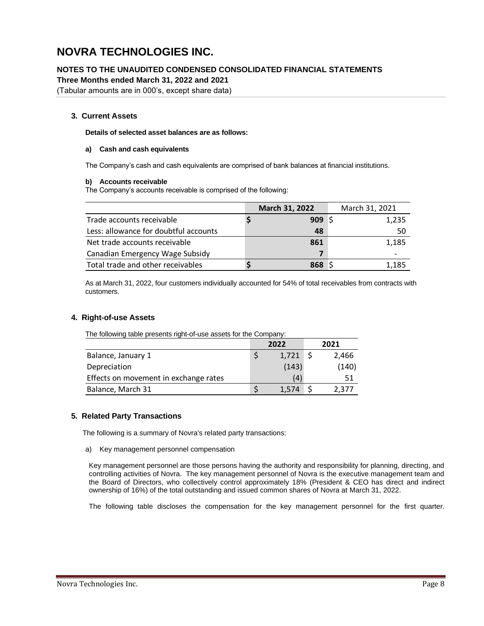**NOTES TO THE UNAUDITED CONDENSED CONSOLIDATED FINANCIAL STATEMENTS**

**Three Months ended March 31, 2022 and 2021**

(Tabular amounts are in 000's, except share data)

### <span id="page-7-0"></span>**3. Current Assets**

**Details of selected asset balances are as follows:**

### **a) Cash and cash equivalents**

The Company's cash and cash equivalents are comprised of bank balances at financial institutions.

### **b) Accounts receivable**

The Company's accounts receivable is comprised of the following:

|                                       | March 31, 2022   | March 31, 2021 |
|---------------------------------------|------------------|----------------|
| Trade accounts receivable             | 909 <sup>5</sup> | 1,235          |
| Less: allowance for doubtful accounts | 48               | 50             |
| Net trade accounts receivable         | 861              | 1,185          |
| Canadian Emergency Wage Subsidy       |                  |                |
| Total trade and other receivables     | 868 S            | 1.185          |

As at March 31, 2022, four customers individually accounted for 54% of total receivables from contracts with customers.

### <span id="page-7-1"></span>**4. Right-of-use Assets**

| The following table presents right-of-use assets for the Company: |   |       |  |       |  |  |  |  |  |
|-------------------------------------------------------------------|---|-------|--|-------|--|--|--|--|--|
|                                                                   |   | 2022  |  | 2021  |  |  |  |  |  |
| Balance, January 1                                                | S | 1,721 |  | 2,466 |  |  |  |  |  |
| Depreciation                                                      |   | (143) |  | (140) |  |  |  |  |  |
| Effects on movement in exchange rates                             |   | (4)   |  | 51    |  |  |  |  |  |
| Balance, March 31                                                 |   | 1.574 |  | 2,377 |  |  |  |  |  |

### <span id="page-7-2"></span>**5. Related Party Transactions**

The following is a summary of Novra's related party transactions:

#### a) Key management personnel compensation

Key management personnel are those persons having the authority and responsibility for planning, directing, and controlling activities of Novra. The key management personnel of Novra is the executive management team and the Board of Directors, who collectively control approximately 18% (President & CEO has direct and indirect ownership of 16%) of the total outstanding and issued common shares of Novra at March 31, 2022.

The following table discloses the compensation for the key management personnel for the first quarter.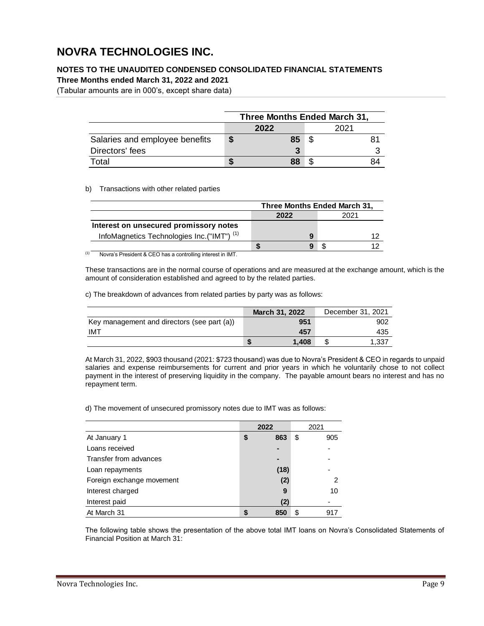### **NOTES TO THE UNAUDITED CONDENSED CONSOLIDATED FINANCIAL STATEMENTS**

**Three Months ended March 31, 2022 and 2021**

(Tabular amounts are in 000's, except share data)

|                                | Three Months Ended March 31, |      |  |      |    |  |  |  |  |
|--------------------------------|------------------------------|------|--|------|----|--|--|--|--|
|                                |                              | 2022 |  | 2021 |    |  |  |  |  |
| Salaries and employee benefits |                              | 85   |  |      |    |  |  |  |  |
| Directors' fees                |                              | 3    |  |      |    |  |  |  |  |
| Total                          |                              | 88   |  |      | 84 |  |  |  |  |

### b) Transactions with other related parties

|                                                       | Three Months Ended March 31, |   |  |      |  |  |  |  |
|-------------------------------------------------------|------------------------------|---|--|------|--|--|--|--|
|                                                       | 2022                         |   |  | 2021 |  |  |  |  |
| Interest on unsecured promissory notes                |                              |   |  |      |  |  |  |  |
| InfoMagnetics Technologies Inc.("IMT") <sup>(1)</sup> |                              | g |  |      |  |  |  |  |
|                                                       |                              |   |  |      |  |  |  |  |

(1) Novra's President & CEO has a controlling interest in IMT.

These transactions are in the normal course of operations and are measured at the exchange amount, which is the amount of consideration established and agreed to by the related parties.

c) The breakdown of advances from related parties by party was as follows:

|                                             | March 31, 2022 | December 31, 2021 |
|---------------------------------------------|----------------|-------------------|
| Key management and directors (see part (a)) | 951            | 902               |
| IMT                                         | 457            | 435               |
|                                             | 1.408          | 1.337             |

At March 31, 2022, \$903 thousand (2021: \$723 thousand) was due to Novra's President & CEO in regards to unpaid salaries and expense reimbursements for current and prior years in which he voluntarily chose to not collect payment in the interest of preserving liquidity in the company. The payable amount bears no interest and has no repayment term.

d) The movement of unsecured promissory notes due to IMT was as follows:

|                           | 2022      | 2021      |
|---------------------------|-----------|-----------|
| At January 1              | \$<br>863 | \$<br>905 |
| Loans received            |           |           |
| Transfer from advances    | -         |           |
| Loan repayments           | (18)      |           |
| Foreign exchange movement | (2)       | 2         |
| Interest charged          | 9         | 10        |
| Interest paid             | (2)       |           |
| At March 31               | 850       | \$<br>917 |

The following table shows the presentation of the above total IMT loans on Novra's Consolidated Statements of Financial Position at March 31: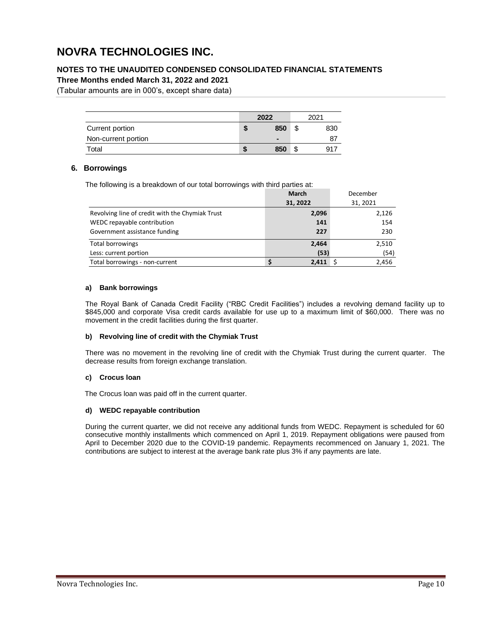### **NOTES TO THE UNAUDITED CONDENSED CONSOLIDATED FINANCIAL STATEMENTS**

**Three Months ended March 31, 2022 and 2021**

(Tabular amounts are in 000's, except share data)

|                     |   | 2022           |         | 2021 |
|---------------------|---|----------------|---------|------|
| Current portion     | æ | 850            | c<br>ъ  | 830  |
| Non-current portion |   | $\blacksquare$ |         | 87   |
| Total               | S | 850            | œ<br>۰D | 917  |

### <span id="page-9-0"></span>**6. Borrowings**

The following is a breakdown of our total borrowings with third parties at:

|                                                 | <b>March</b> | December |
|-------------------------------------------------|--------------|----------|
|                                                 | 31, 2022     | 31, 2021 |
| Revolving line of credit with the Chymiak Trust | 2,096        | 2,126    |
| WEDC repayable contribution                     | 141          | 154      |
| Government assistance funding                   | 227          | 230      |
| <b>Total borrowings</b>                         | 2,464        | 2,510    |
| Less: current portion                           | (53)         | (54)     |
| Total borrowings - non-current                  | 2.411        | 2.456    |

### **a) Bank borrowings**

The Royal Bank of Canada Credit Facility ("RBC Credit Facilities") includes a revolving demand facility up to \$845,000 and corporate Visa credit cards available for use up to a maximum limit of \$60,000. There was no movement in the credit facilities during the first quarter.

### **b) Revolving line of credit with the Chymiak Trust**

There was no movement in the revolving line of credit with the Chymiak Trust during the current quarter. The decrease results from foreign exchange translation.

### **c) Crocus loan**

The Crocus loan was paid off in the current quarter.

#### **d) WEDC repayable contribution**

During the current quarter, we did not receive any additional funds from WEDC. Repayment is scheduled for 60 consecutive monthly installments which commenced on April 1, 2019. Repayment obligations were paused from April to December 2020 due to the COVID-19 pandemic. Repayments recommenced on January 1, 2021. The contributions are subject to interest at the average bank rate plus 3% if any payments are late.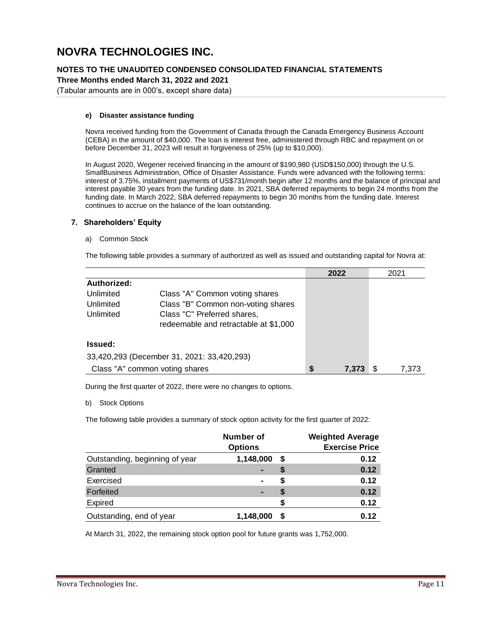### **NOTES TO THE UNAUDITED CONDENSED CONSOLIDATED FINANCIAL STATEMENTS**

**Three Months ended March 31, 2022 and 2021**

(Tabular amounts are in 000's, except share data)

### **e) Disaster assistance funding**

Novra received funding from the Government of Canada through the Canada Emergency Business Account (CEBA) in the amount of \$40,000. The loan is interest free, administered through RBC and repayment on or before December 31, 2023 will result in forgiveness of 25% (up to \$10,000).

<span id="page-10-0"></span>In August 2020, Wegener received financing in the amount of \$190,980 (USD\$150,000) through the U.S. SmallBusiness Administration, Office of Disaster Assistance. Funds were advanced with the following terms: interest of 3.75%, installment payments of US\$731/month begin after 12 months and the balance of principal and interest payable 30 years from the funding date. In 2021, SBA deferred repayments to begin 24 months from the funding date. In March 2022, SBA deferred repayments to begin 30 months from the funding date. Interest continues to accrue on the balance of the loan outstanding.

### **7. Shareholders' Equity**

a) Common Stock

The following table provides a summary of authorized as well as issued and outstanding capital for Novra at:

|                |                                            | 2022        | 2021  |
|----------------|--------------------------------------------|-------------|-------|
| Authorized:    |                                            |             |       |
| Unlimited      | Class "A" Common voting shares             |             |       |
| Unlimited      | Class "B" Common non-voting shares         |             |       |
| Unlimited      | Class "C" Preferred shares,                |             |       |
|                | redeemable and retractable at \$1,000      |             |       |
|                |                                            |             |       |
| <b>Issued:</b> |                                            |             |       |
|                | 33,420,293 (December 31, 2021: 33,420,293) |             |       |
|                | Class "A" common voting shares             | \$<br>7,373 | 7.373 |

During the first quarter of 2022, there were no changes to options.

b) Stock Options

The following table provides a summary of stock option activity for the first quarter of 2022:

| Number of<br><b>Options</b>    |                | <b>Weighted Average</b><br><b>Exercise Price</b> |      |
|--------------------------------|----------------|--------------------------------------------------|------|
| Outstanding, beginning of year | 1,148,000      | S                                                | 0.12 |
| Granted                        | $\blacksquare$ | \$                                               | 0.12 |
| Exercised                      | $\blacksquare$ | S                                                | 0.12 |
| Forfeited                      | -              | S                                                | 0.12 |
| Expired                        |                | S                                                | 0.12 |
| Outstanding, end of year       | 1,148,000      | S                                                | 0.12 |

At March 31, 2022, the remaining stock option pool for future grants was 1,752,000.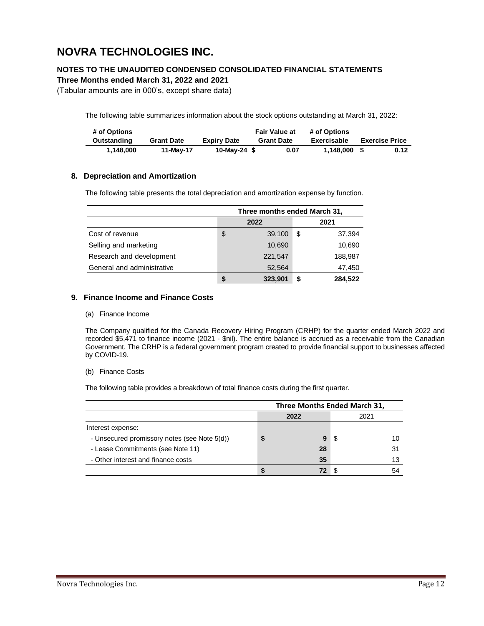### **NOTES TO THE UNAUDITED CONDENSED CONSOLIDATED FINANCIAL STATEMENTS**

**Three Months ended March 31, 2022 and 2021**

(Tabular amounts are in 000's, except share data)

The following table summarizes information about the stock options outstanding at March 31, 2022:

| # of Options |                   |                    | <b>Fair Value at</b> | # of Options |                       |
|--------------|-------------------|--------------------|----------------------|--------------|-----------------------|
| Outstanding  | <b>Grant Date</b> | <b>Expiry Date</b> | <b>Grant Date</b>    | Exercisable  | <b>Exercise Price</b> |
| 1.148.000    | 11-May-17         | 10-May-24 $$$      | 0.07                 | 1.148.000    | 0.12                  |

### <span id="page-11-0"></span>**8. Depreciation and Amortization**

The following table presents the total depreciation and amortization expense by function.

|                            | Three months ended March 31, |         |    |         |
|----------------------------|------------------------------|---------|----|---------|
|                            | 2022                         |         |    | 2021    |
| Cost of revenue            | \$                           | 39,100  | \$ | 37,394  |
| Selling and marketing      |                              | 10,690  |    | 10,690  |
| Research and development   |                              | 221,547 |    | 188,987 |
| General and administrative |                              | 52,564  |    | 47,450  |
|                            | S                            | 323,901 | S  | 284,522 |

### <span id="page-11-1"></span>**9. Finance Income and Finance Costs**

(a) Finance Income

The Company qualified for the Canada Recovery Hiring Program (CRHP) for the quarter ended March 2022 and recorded \$5,471 to finance income (2021 - \$nil). The entire balance is accrued as a receivable from the Canadian Government. The CRHP is a federal government program created to provide financial support to businesses affected by COVID-19.

(b) Finance Costs

The following table provides a breakdown of total finance costs during the first quarter.

|                                              | Three Months Ended March 31, |      |    |  |
|----------------------------------------------|------------------------------|------|----|--|
|                                              | 2022                         | 2021 |    |  |
| Interest expense:                            |                              |      |    |  |
| - Unsecured promissory notes (see Note 5(d)) | 9                            | S    | 10 |  |
| - Lease Commitments (see Note 11)            | 28                           |      | 31 |  |
| - Other interest and finance costs           | 35                           |      | 13 |  |
|                                              |                              |      |    |  |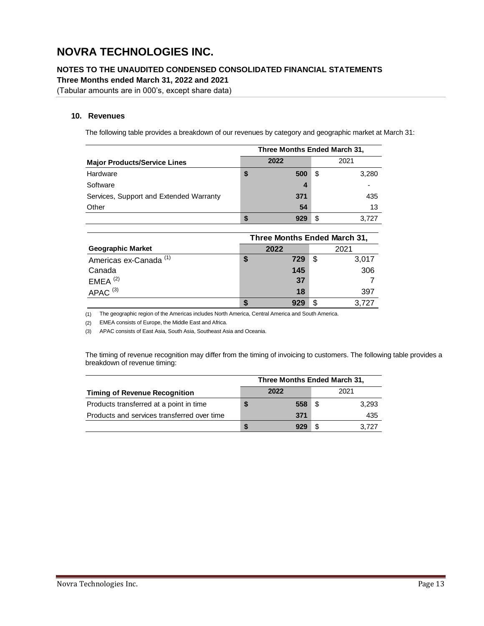**NOTES TO THE UNAUDITED CONDENSED CONSOLIDATED FINANCIAL STATEMENTS**

**Three Months ended March 31, 2022 and 2021**

(Tabular amounts are in 000's, except share data)

### <span id="page-12-0"></span>**10. Revenues**

The following table provides a breakdown of our revenues by category and geographic market at March 31:

|                                         |    | Three Months Ended March 31, |   |       |
|-----------------------------------------|----|------------------------------|---|-------|
| <b>Major Products/Service Lines</b>     |    | 2022                         |   | 2021  |
| Hardware                                | \$ | 500                          | S | 3,280 |
| Software                                |    | 4                            |   |       |
| Services, Support and Extended Warranty |    | 371                          |   | 435   |
| Other                                   |    | 54                           |   | 13    |
|                                         | 5  |                              | S | 3.727 |

|                                   |      |     | Three Months Ended March 31, |       |
|-----------------------------------|------|-----|------------------------------|-------|
| <b>Geographic Market</b>          | 2022 |     |                              | 2021  |
| Americas ex-Canada <sup>(1)</sup> | \$   | 729 | S                            | 3,017 |
| Canada                            |      | 145 |                              | 306   |
| $EMEA$ <sup>(2)</sup>             |      | 37  |                              |       |
| $APAC$ <sup>(3)</sup>             |      | 18  |                              | 397   |
|                                   |      |     | S.                           | 3.727 |

(1) The geographic region of the Americas includes North America, Central America and South America.

(2) EMEA consists of Europe, the Middle East and Africa.

(3) APAC consists of East Asia, South Asia, Southeast Asia and Oceania.

The timing of revenue recognition may differ from the timing of invoicing to customers. The following table provides a breakdown of revenue timing:

|                                             |  | Three Months Ended March 31, |     |       |
|---------------------------------------------|--|------------------------------|-----|-------|
| <b>Timing of Revenue Recognition</b>        |  | 2022                         |     | 2021  |
| Products transferred at a point in time     |  | 558                          | \$. | 3,293 |
| Products and services transferred over time |  | 371                          |     | 435   |
|                                             |  |                              |     | 3.727 |